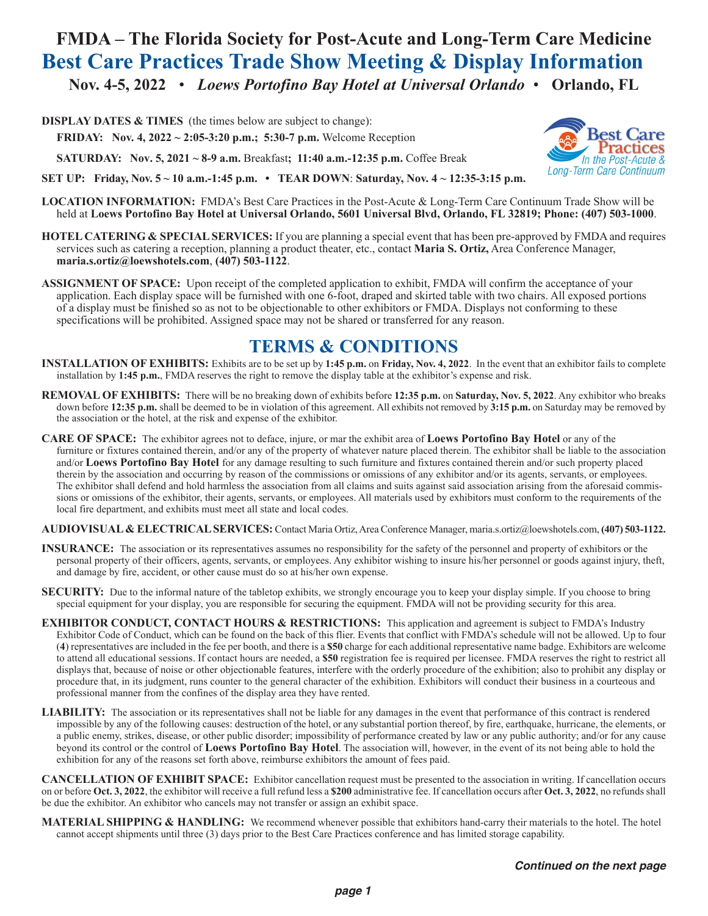### **FMDA – The Florida Society for Post-Acute and Long-Term Care Medicine Best Care Practices Trade Show Meeting & Display Information Nov. 4-5, 2022** • *Loews Portofino Bay Hotel at Universal Orlando* • **Orlando, FL**

**DISPLAY DATES & TIMES** (the times below are subject to change):

**FRIDAY: Nov. 4, 2022 ~ 2:05-3:20 p.m.; 5:30-7 p.m.** Welcome Reception

**SATURDAY: Nov. 5, 2021 ~ 8-9 a.m.** Breakfast**; 11:40 a.m.-12:35 p.m.** Coffee Break



**SET UP: Friday, Nov. 5 ~ 10 a.m.-1:45 p.m. • TEAR DOWN**: **Saturday, Nov. 4 ~ 12:35-3:15 p.m.**

- **LOCATION INFORMATION:** FMDA's Best Care Practices in the Post-Acute & Long-Term Care Continuum Trade Show will be held at **Loews Portofino Bay Hotel at Universal Orlando, 5601 Universal Blvd, Orlando, FL 32819; Phone: (407) 503-1000**.
- **HOTEL CATERING & SPECIAL SERVICES:** If you are planning a special event that has been pre-approved by FMDA and requires services such as catering a reception, planning a product theater, etc., contact **Maria S. Ortiz,** Area Conference Manager, **maria.s.ortiz@loewshotels.com**, **(407) 503-1122**.
- **ASSIGNMENT OF SPACE:** Upon receipt of the completed application to exhibit, FMDA will confirm the acceptance of your application. Each display space will be furnished with one 6-foot, draped and skirted table with two chairs. All exposed portions of a display must be finished so as not to be objectionable to other exhibitors or FMDA. Displays not conforming to these specifications will be prohibited. Assigned space may not be shared or transferred for any reason.

### **TERMS & CONDITIONS**

- **INSTALLATION OF EXHIBITS:** Exhibits are to be set up by **1:45 p.m.** on **Friday, Nov. 4, 2022**. In the event that an exhibitor fails to complete installation by **1:45 p.m.**, FMDA reserves the right to remove the display table at the exhibitor's expense and risk.
- **REMOVAL OF EXHIBITS:** There will be no breaking down of exhibits before **12:35 p.m.** on **Saturday, Nov. 5, 2022**. Any exhibitor who breaks down before **12:35 p.m.** shall be deemed to be in violation of this agreement. All exhibits not removed by **3:15 p.m.** on Saturday may be removed by the association or the hotel, at the risk and expense of the exhibitor.
- **CARE OF SPACE:** The exhibitor agrees not to deface, injure, or mar the exhibit area of **Loews Portofino Bay Hotel** or any of the furniture or fixtures contained therein, and/or any of the property of whatever nature placed therein. The exhibitor shall be liable to the association and/or **Loews Portofino Bay Hotel** for any damage resulting to such furniture and fixtures contained therein and/or such property placed therein by the association and occurring by reason of the commissions or omissions of any exhibitor and/or its agents, servants, or employees. The exhibitor shall defend and hold harmless the association from all claims and suits against said association arising from the aforesaid commissions or omissions of the exhibitor, their agents, servants, or employees. All materials used by exhibitors must conform to the requirements of the local fire department, and exhibits must meet all state and local codes.
- **AUDIOVISUAL & ELECTRICAL SERVICES:** Contact Maria Ortiz, Area Conference Manager, maria.s.ortiz@loewshotels.com, **(407) 503-1122.**
- **INSURANCE:** The association or its representatives assumes no responsibility for the safety of the personnel and property of exhibitors or the personal property of their officers, agents, servants, or employees. Any exhibitor wishing to insure his/her personnel or goods against injury, theft, and damage by fire, accident, or other cause must do so at his/her own expense.
- **SECURITY:** Due to the informal nature of the tabletop exhibits, we strongly encourage you to keep your display simple. If you choose to bring special equipment for your display, you are responsible for securing the equipment. FMDA will not be providing security for this area.
- **EXHIBITOR CONDUCT, CONTACT HOURS & RESTRICTIONS:** This application and agreement is subject to FMDA's Industry Exhibitor Code of Conduct, which can be found on the back of this flier. Events that conflict with FMDA's schedule will not be allowed. Up to four (**4**) representatives are included in the fee per booth, and there is a **\$50** charge for each additional representative name badge. Exhibitors are welcome to attend all educational sessions. If contact hours are needed, a **\$50** registration fee is required per licensee. FMDA reserves the right to restrict all displays that, because of noise or other objectionable features, interfere with the orderly procedure of the exhibition; also to prohibit any display or procedure that, in its judgment, runs counter to the general character of the exhibition. Exhibitors will conduct their business in a courteous and professional manner from the confines of the display area they have rented.
- **LIABILITY:** The association or its representatives shall not be liable for any damages in the event that performance of this contract is rendered impossible by any of the following causes: destruction of the hotel, or any substantial portion thereof, by fire, earthquake, hurricane, the elements, or a public enemy, strikes, disease, or other public disorder; impossibility of performance created by law or any public authority; and/or for any cause beyond its control or the control of **Loews Portofino Bay Hotel**. The association will, however, in the event of its not being able to hold the exhibition for any of the reasons set forth above, reimburse exhibitors the amount of fees paid.

**CANCELLATION OF EXHIBIT SPACE:** Exhibitor cancellation request must be presented to the association in writing. If cancellation occurs on or before **Oct. 3, 2022**, the exhibitor will receive a full refund less a **\$200** administrative fee. If cancellation occurs after **Oct. 3, 2022**, no refunds shall be due the exhibitor. An exhibitor who cancels may not transfer or assign an exhibit space.

**MATERIAL SHIPPING & HANDLING:** We recommend whenever possible that exhibitors hand-carry their materials to the hotel. The hotel cannot accept shipments until three (3) days prior to the Best Care Practices conference and has limited storage capability.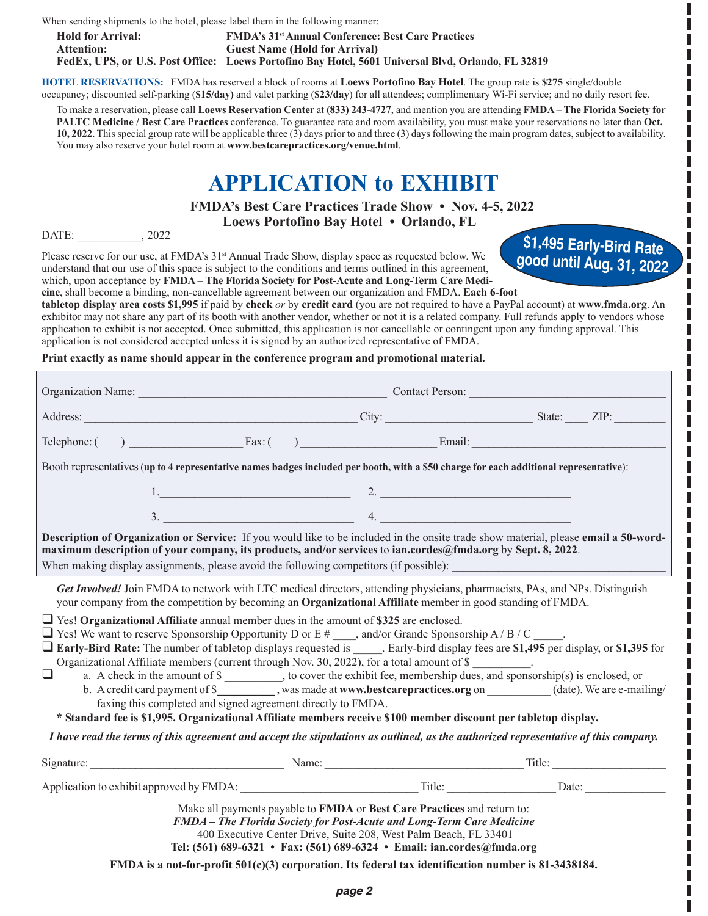When sending shipments to the hotel, please label them in the following manner:

**Hold for Arrival: FMDA's 31st Annual Conference: Best Care Practices Attention: Guest Name (Hold for Arrival) FedEx, UPS, or U.S. Post Office: Loews Portofino Bay Hotel, 5601 Universal Blvd, Orlando, FL 32819**

**HOTEL RESERVATIONS:** FMDA has reserved a block of rooms at **Loews Portofino Bay Hotel**. The group rate is **\$275** single/double occupancy; discounted self-parking (**\$15/day)** and valet parking (**\$23/day**) for all attendees; complimentary Wi-Fi service; and no daily resort fee.

To make a reservation, please call **Loews Reservation Center** at **(833) 243-4727**, and mention you are attending **FMDA – The Florida Society for PALTC Medicine / Best Care Practices** conference. To guarantee rate and room availability, you must make your reservations no later than **Oct. 10, 2022**. This special group rate will be applicable three (3) days prior to and three (3) days following the main program dates, subject to availability. You may also reserve your hotel room at **www.bestcarepractices.org/venue.html**.

# **APPLICATION to EXHIBIT**

 **FMDA's Best Care Practices Trade Show • Nov. 4-5, 2022 Loews Portofino Bay Hotel** *•* **Orlando, FL**

DATE: \_\_\_\_\_\_\_\_\_\_\_, 2022

Please reserve for our use, at FMDA's 31<sup>st</sup> Annual Trade Show, display space as requested below. We understand that our use of this space is subject to the conditions and terms outlined in this agreement, which, upon acceptance by **FMDA – The Florida Society for Post-Acute and Long-Term Care Medi-**

**\$1,495 Early-Bird Rate good until Aug. 31, 2022**

L

**cine**, shall become a binding, non-cancellable agreement between our organization and FMDA. **Each 6-foot tabletop display area costs \$1,995** if paid by **check** *or* by **credit card** (you are not required to have a PayPal account) at **www.fmda.org**. An exhibitor may not share any part of its booth with another vendor, whether or not it is a related company. Full refunds apply to vendors whose application to exhibit is not accepted. Once submitted, this application is not cancellable or contingent upon any funding approval. This application is not considered accepted unless it is signed by an authorized representative of FMDA.

**Print exactly as name should appear in the conference program and promotional material.**

| Organization Name: Contact Person: Contact Person:                                                                                                                                                                                                                                                                                                                                                                                                                                                                                                                                                                                                                                                                                                                                                                                                                                                                                                                                                                                                                                                                                                                                                                                                                                 |  |  |  |  |
|------------------------------------------------------------------------------------------------------------------------------------------------------------------------------------------------------------------------------------------------------------------------------------------------------------------------------------------------------------------------------------------------------------------------------------------------------------------------------------------------------------------------------------------------------------------------------------------------------------------------------------------------------------------------------------------------------------------------------------------------------------------------------------------------------------------------------------------------------------------------------------------------------------------------------------------------------------------------------------------------------------------------------------------------------------------------------------------------------------------------------------------------------------------------------------------------------------------------------------------------------------------------------------|--|--|--|--|
| Address: <u>The City:</u> City: City: City: State: ZIP:                                                                                                                                                                                                                                                                                                                                                                                                                                                                                                                                                                                                                                                                                                                                                                                                                                                                                                                                                                                                                                                                                                                                                                                                                            |  |  |  |  |
|                                                                                                                                                                                                                                                                                                                                                                                                                                                                                                                                                                                                                                                                                                                                                                                                                                                                                                                                                                                                                                                                                                                                                                                                                                                                                    |  |  |  |  |
| Booth representatives (up to 4 representative names badges included per booth, with a \$50 charge for each additional representative):                                                                                                                                                                                                                                                                                                                                                                                                                                                                                                                                                                                                                                                                                                                                                                                                                                                                                                                                                                                                                                                                                                                                             |  |  |  |  |
| $1.$ $2.$ $2.$                                                                                                                                                                                                                                                                                                                                                                                                                                                                                                                                                                                                                                                                                                                                                                                                                                                                                                                                                                                                                                                                                                                                                                                                                                                                     |  |  |  |  |
| $\frac{1}{2}$ . $\frac{1}{2}$ . $\frac{1}{2}$ . $\frac{1}{2}$ . $\frac{1}{2}$ . $\frac{1}{2}$ . $\frac{1}{2}$ . $\frac{1}{2}$ . $\frac{1}{2}$ . $\frac{1}{2}$ . $\frac{1}{2}$ . $\frac{1}{2}$ . $\frac{1}{2}$ . $\frac{1}{2}$ . $\frac{1}{2}$ . $\frac{1}{2}$ . $\frac{1}{2}$ . $\frac{1}{2}$ . $\frac{1$                                                                                                                                                                                                                                                                                                                                                                                                                                                                                                                                                                                                                                                                                                                                                                                                                                                                                                                                                                          |  |  |  |  |
| Description of Organization or Service: If you would like to be included in the onsite trade show material, please email a 50-word-<br>maximum description of your company, its products, and/or services to ian.cordes@fmda.org by Sept. 8, 2022.                                                                                                                                                                                                                                                                                                                                                                                                                                                                                                                                                                                                                                                                                                                                                                                                                                                                                                                                                                                                                                 |  |  |  |  |
| Get Involved! Join FMDA to network with LTC medical directors, attending physicians, pharmacists, PAs, and NPs. Distinguish<br>your company from the competition by becoming an Organizational Affiliate member in good standing of FMDA.<br>$\Box$ Yes! Organizational Affiliate annual member dues in the amount of \$325 are enclosed.<br>$\Box$ Yes! We want to reserve Sponsorship Opportunity D or E #, and/or Grande Sponsorship A / B / C .<br>Early-Bird Rate: The number of tabletop displays requested is _____. Early-bird display fees are \$1,495 per display, or \$1,395 for<br>Organizational Affiliate members (current through Nov. 30, 2022), for a total amount of \$<br>$\Box$<br>a. A check in the amount of \$ __________, to cover the exhibit fee, membership dues, and sponsorship(s) is enclosed, or<br>b. A credit card payment of \$___________, was made at www.bestcarepractices.org on _________(date). We are e-mailing/<br>faxing this completed and signed agreement directly to FMDA.<br>* Standard fee is \$1,995. Organizational Affiliate members receive \$100 member discount per tabletop display.<br>I have read the terms of this agreement and accept the stipulations as outlined, as the authorized representative of this company. |  |  |  |  |
| <b>Name:</b> Name: Name: Title: Title:<br>Signature:                                                                                                                                                                                                                                                                                                                                                                                                                                                                                                                                                                                                                                                                                                                                                                                                                                                                                                                                                                                                                                                                                                                                                                                                                               |  |  |  |  |
|                                                                                                                                                                                                                                                                                                                                                                                                                                                                                                                                                                                                                                                                                                                                                                                                                                                                                                                                                                                                                                                                                                                                                                                                                                                                                    |  |  |  |  |
| Make all payments payable to FMDA or Best Care Practices and return to:<br>FMDA - The Florida Society for Post-Acute and Long-Term Care Medicine<br>400 Executive Center Drive, Suite 208, West Palm Beach, FL 33401<br>Tel: (561) 689-6321 • Fax: (561) 689-6324 • Email: ian.cordes@fmda.org<br>FMDA is a not-for-profit $501(c)(3)$ corporation. Its federal tax identification number is 81-3438184.                                                                                                                                                                                                                                                                                                                                                                                                                                                                                                                                                                                                                                                                                                                                                                                                                                                                           |  |  |  |  |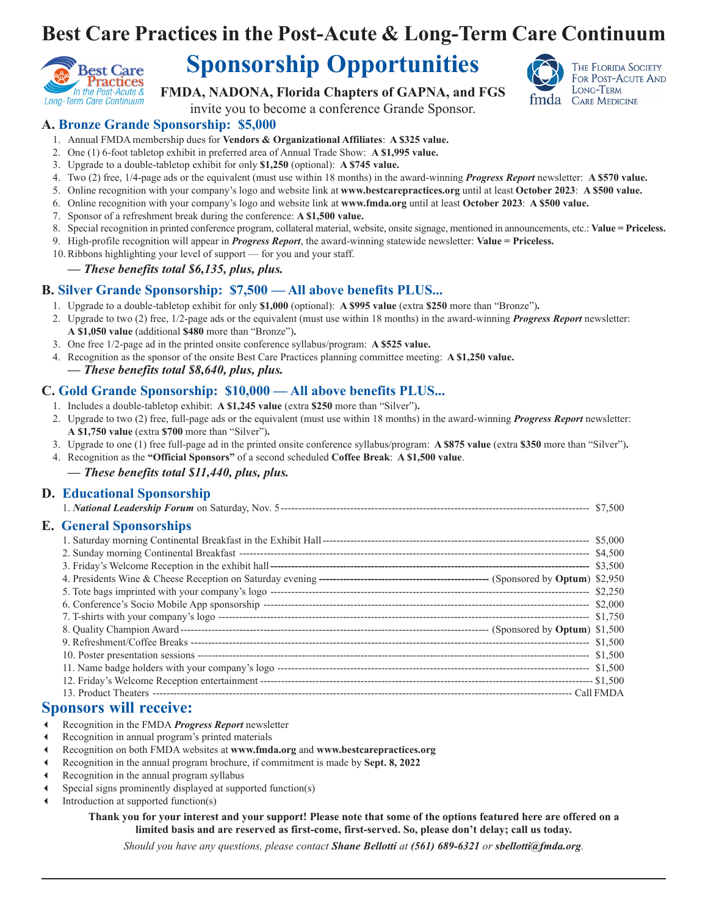## **Best Care Practices in the Post-Acute & Long-Term Care Continuum**



## **Sponsorship Opportunities**

**FMDA, NADONA, Florida Chapters of GAPNA, and FGS**



invite you to become a conference Grande Sponsor.

#### **A. Bronze Grande Sponsorship: \$5,000**

- 1. Annual FMDA membership dues for **Vendors & Organizational Affiliates**: **A \$325 value.**
- 2. One (1) 6-foot tabletop exhibit in preferred area of Annual Trade Show: **A \$1,995 value.**
- 3. Upgrade to a double-tabletop exhibit for only **\$1,250** (optional): **A \$745 value.**
- 4. Two (2) free, 1/4-page ads or the equivalent (must use within 18 months) in the award-winning *Progress Report* newsletter: **A \$570 value.**
- 5. Online recognition with your company's logo and website link at **www.bestcarepractices.org** until at least **October 2023**: **A \$500 value.**
- 6. Online recognition with your company's logo and website link at **www.fmda.org** until at least **October 2023**: **A \$500 value.**
- 7. Sponsor of a refreshment break during the conference: **A \$1,500 value.**
- 8. Special recognition in printed conference program, collateral material, website, onsite signage, mentioned in announcements, etc.: **Value = Priceless.**
- 9. High-profile recognition will appear in *Progress Report*, the award-winning statewide newsletter: **Value = Priceless.**
- 10. Ribbons highlighting your level of support for you and your staff.

#### *— These benefits total \$6,135, plus, plus.*

#### **B. Silver Grande Sponsorship: \$7,500 — All above benefits PLUS...**

- 1. Upgrade to a double-tabletop exhibit for only **\$1,000** (optional): **A \$995 value** (extra **\$250** more than "Bronze")**.**
- 2. Upgrade to two (2) free, 1/2-page ads or the equivalent (must use within 18 months) in the award-winning *Progress Report* newsletter: **A \$1,050 value** (additional **\$480** more than "Bronze")**.**
- 3. One free 1/2-page ad in the printed onsite conference syllabus/program: **A \$525 value.**
- 4. Recognition as the sponsor of the onsite Best Care Practices planning committee meeting: **A \$1,250 value.** *— These benefits total \$8,640, plus, plus.*

#### **C. Gold Grande Sponsorship: \$10,000 — All above benefits PLUS...**

- 1. Includes a double-tabletop exhibit: **A \$1,245 value** (extra **\$250** more than "Silver")**.**
- 2. Upgrade to two (2) free, full-page ads or the equivalent (must use within 18 months) in the award-winning *Progress Report* newsletter: **A \$1,750 value** (extra **\$700** more than "Silver")**.**
- 3. Upgrade to one (1) free full-page ad in the printed onsite conference syllabus/program: **A \$875 value** (extra **\$350** more than "Silver")**.**
- 4. Recognition as the **"Official Sponsors"** of a second scheduled **Coffee Break**: **A \$1,500 value**.
	- *These benefits total \$11,440, plus, plus.*

#### **D. Educational Sponsorship**

| <b>E.</b> General Sponsorships                                                                                                                                                                                                     |  |
|------------------------------------------------------------------------------------------------------------------------------------------------------------------------------------------------------------------------------------|--|
|                                                                                                                                                                                                                                    |  |
|                                                                                                                                                                                                                                    |  |
|                                                                                                                                                                                                                                    |  |
|                                                                                                                                                                                                                                    |  |
|                                                                                                                                                                                                                                    |  |
|                                                                                                                                                                                                                                    |  |
|                                                                                                                                                                                                                                    |  |
|                                                                                                                                                                                                                                    |  |
|                                                                                                                                                                                                                                    |  |
|                                                                                                                                                                                                                                    |  |
|                                                                                                                                                                                                                                    |  |
|                                                                                                                                                                                                                                    |  |
|                                                                                                                                                                                                                                    |  |
| $\bullet$ , and a set of the set of the set of the set of the set of the set of the set of the set of the set of the set of the set of the set of the set of the set of the set of the set of the set of the set of the set of the |  |

#### **Sponsors will receive:**

- Recognition in the FMDA *Progress Report* newsletter
- Recognition in annual program's printed materials
- Recognition on both FMDA websites at **www.fmda.org** and **www.bestcarepractices.org**
- Recognition in the annual program brochure, if commitment is made by **Sept. 8, 2022**
- Recognition in the annual program syllabus
- Special signs prominently displayed at supported function(s)
- Introduction at supported function(s)

**Thank you for your interest and your support! Please note that some of the options featured here are offered on a limited basis and are reserved as first-come, first-served. So, please don't delay; call us today.**

*Should you have any questions, please contact Shane Bellotti at (561) 689-6321 or sbellotti@fmda.org.*